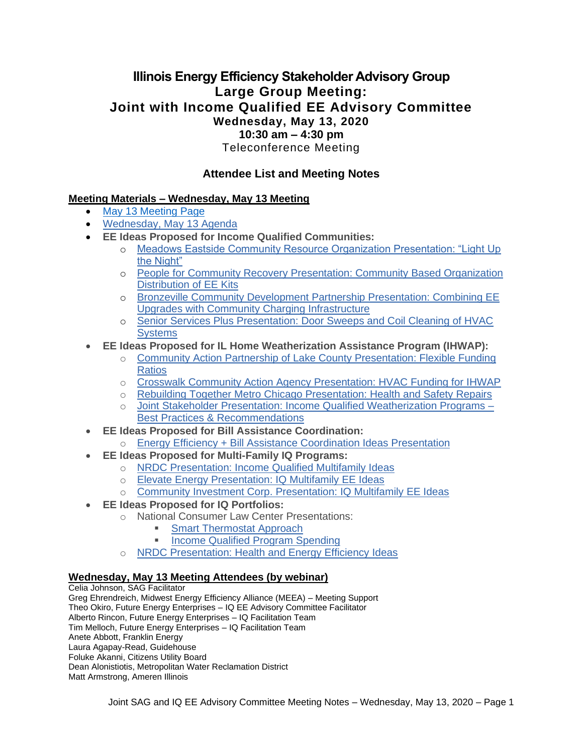## **Illinois Energy Efficiency Stakeholder Advisory Group Large Group Meeting: Joint with Income Qualified EE Advisory Committee Wednesday, May 13, 2020 10:30 am – 4:30 pm** Teleconference Meeting

## **Attendee List and Meeting Notes**

### **Meeting Materials – Wednesday, May 13 Meeting**

- [May 13 Meeting Page](https://www.ilsag.info/event/wednesday-may-13-sag-meeting/)
- [Wednesday, May](https://s3.amazonaws.com/ilsag/IL-EE-SAG_Joint_IQ_Committee_Meeting_Wednesday-May-13-2020_Agenda_Finalv3.pdf) 13 Agenda
- **EE Ideas Proposed for Income Qualified Communities:**
	- o [Meadows Eastside Community Resource Organization Presentation: "Light Up](https://s3.amazonaws.com/ilsag/Meadows_Eastside-SAG-PPT-May-13-2020-1.pdf)  [the Night"](https://s3.amazonaws.com/ilsag/Meadows_Eastside-SAG-PPT-May-13-2020-1.pdf)
	- o [People for Community Recovery Presentation: Community Based Organization](https://s3.amazonaws.com/ilsag/PCR_05-13-20-Meeting-Presentation_Community-Based-Organization-Distribution-of-EE-Kits.pdf)  [Distribution of EE Kits](https://s3.amazonaws.com/ilsag/PCR_05-13-20-Meeting-Presentation_Community-Based-Organization-Distribution-of-EE-Kits.pdf)
	- o [Bronzeville Community Development Partnership Presentation: Combining EE](https://s3.amazonaws.com/ilsag/BCDP_EV-Presentation_5-13-2020_William-P-Davis.pdf)  [Upgrades with Community Charging Infrastructure](https://s3.amazonaws.com/ilsag/BCDP_EV-Presentation_5-13-2020_William-P-Davis.pdf)
	- o [Senior Services Plus Presentation: Door Sweeps and Coil Cleaning of HVAC](https://s3.amazonaws.com/ilsag/EE_Presentation_Senior_Services_Plus_5-13-2020.pdf)  **[Systems](https://s3.amazonaws.com/ilsag/EE_Presentation_Senior_Services_Plus_5-13-2020.pdf)**
- **EE Ideas Proposed for IL Home Weatherization Assistance Program (IHWAP):**
	- o [Community Action Partnership of Lake County Presentation: Flexible Funding](https://s3.amazonaws.com/ilsag/SAG-Presentation_May-13-2020_Community-Action-Partnership-of-Lake-County.pdf)  [Ratios](https://s3.amazonaws.com/ilsag/SAG-Presentation_May-13-2020_Community-Action-Partnership-of-Lake-County.pdf)
	- o [Crosswalk Community Action Agency Presentation: HVAC Funding for IHWAP](https://s3.amazonaws.com/ilsag/Crosswalk-CAA_05-13-2020_-SAG-IQ-Meeting_Presentation.pdf)
	- o [Rebuilding Together Metro Chicago Presentation: Health and Safety Repairs](https://s3.amazonaws.com/ilsag/RTMC-SAG-PPT-May-13-2020.pdf)
	- o [Joint Stakeholder Presentation: Income Qualified Weatherization Programs –](https://s3.amazonaws.com/ilsag/IQ-Weatherization-Program-Recommendation-Slides-CUB-NCLC-NRDC-5.13.20-SAG-IQ-Meeting-Final.pdf) [Best Practices & Recommendations](https://s3.amazonaws.com/ilsag/IQ-Weatherization-Program-Recommendation-Slides-CUB-NCLC-NRDC-5.13.20-SAG-IQ-Meeting-Final.pdf)
- **EE Ideas Proposed for Bill Assistance Coordination:**
	- o [Energy Efficiency + Bill Assistance Coordination Ideas Presentation](https://s3.amazonaws.com/ilsag/Bill-Assistance-EE-Slides-PCRNCLCNRDC-5.13.20-SAGIQ-Meeting-Final.pdf)
- **EE Ideas Proposed for Multi-Family IQ Programs:**
	- o [NRDC Presentation: Income Qualified Multifamily Ideas](https://s3.amazonaws.com/ilsag/IQ-MF-Program-Enhancements-and-IQ-MF-heat-pumps-NRDC-SAG-2020-05-13-20-Final.pdf)
	- o Elevate [Energy Presentation: IQ Multifamily EE Ideas](https://s3.amazonaws.com/ilsag/IL-EE-SAG_Elevate-Energy_MF_EE_Ideas_Presentation.pdf)
	- o [Community Investment Corp. Presentation: IQ Multifamily EE Ideas](https://s3.amazonaws.com/ilsag/CIC-EE-Ideas_5-13-20.pdf)
- **EE Ideas Proposed for IQ Portfolios:**
	- o National Consumer Law Center Presentations:
		- **[Smart Thermostat Approach](https://s3.amazonaws.com/ilsag/Smart-t-stat-presentation-NCLC-IL-SAG-5-12-20.pdf)** 
			- **[Income Qualified Program Spending](https://s3.amazonaws.com/ilsag/Increasing-Investment-in-Income-Qualified-EE-Programs_NCLC_IL-SAG-May-2020-1.pdf)**
	- o [NRDC Presentation: Health and Energy Efficiency Ideas](https://s3.amazonaws.com/ilsag/Health-EE-and-Healthy-Building-Materials-NRDC-Slide-5.13.20-SAGIQ-Meeting-Final.pdf)

#### **Wednesday, May 13 Meeting Attendees (by webinar)**

Celia Johnson, SAG Facilitator Greg Ehrendreich, Midwest Energy Efficiency Alliance (MEEA) – Meeting Support Theo Okiro, Future Energy Enterprises – IQ EE Advisory Committee Facilitator Alberto Rincon, Future Energy Enterprises – IQ Facilitation Team Tim Melloch, Future Energy Enterprises – IQ Facilitation Team Anete Abbott, Franklin Energy Laura Agapay-Read, Guidehouse Foluke Akanni, Citizens Utility Board Dean Alonistiotis, Metropolitan Water Reclamation District Matt Armstrong, Ameren Illinois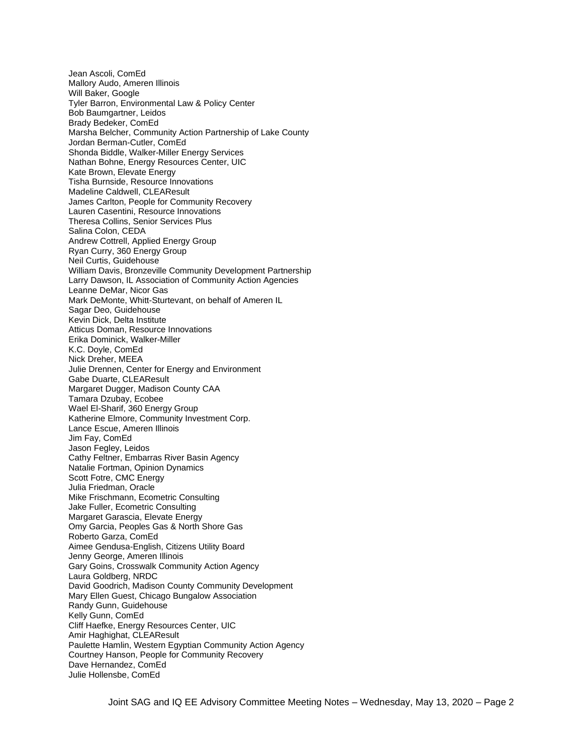Jean Ascoli, ComEd Mallory Audo, Ameren Illinois Will Baker, Google Tyler Barron, Environmental Law & Policy Center Bob Baumgartner, Leidos Brady Bedeker, ComEd Marsha Belcher, Community Action Partnership of Lake County Jordan Berman-Cutler, ComEd Shonda Biddle, Walker-Miller Energy Services Nathan Bohne, Energy Resources Center, UIC Kate Brown, Elevate Energy Tisha Burnside, Resource Innovations Madeline Caldwell, CLEAResult James Carlton, People for Community Recovery Lauren Casentini, Resource Innovations Theresa Collins, Senior Services Plus Salina Colon, CEDA Andrew Cottrell, Applied Energy Group Ryan Curry, 360 Energy Group Neil Curtis, Guidehouse William Davis, Bronzeville Community Development Partnership Larry Dawson, IL Association of Community Action Agencies Leanne DeMar, Nicor Gas Mark DeMonte, Whitt-Sturtevant, on behalf of Ameren IL Sagar Deo, Guidehouse Kevin Dick, Delta Institute Atticus Doman, Resource Innovations Erika Dominick, Walker-Miller K.C. Doyle, ComEd Nick Dreher, MEEA Julie Drennen, Center for Energy and Environment Gabe Duarte, CLEAResult Margaret Dugger, Madison County CAA Tamara Dzubay, Ecobee Wael El-Sharif, 360 Energy Group Katherine Elmore, Community Investment Corp. Lance Escue, Ameren Illinois Jim Fay, ComEd Jason Fegley, Leidos Cathy Feltner, Embarras River Basin Agency Natalie Fortman, Opinion Dynamics Scott Fotre, CMC Energy Julia Friedman, Oracle Mike Frischmann, Ecometric Consulting Jake Fuller, Ecometric Consulting Margaret Garascia, Elevate Energy Omy Garcia, Peoples Gas & North Shore Gas Roberto Garza, ComEd Aimee Gendusa-English, Citizens Utility Board Jenny George, Ameren Illinois Gary Goins, Crosswalk Community Action Agency Laura Goldberg, NRDC David Goodrich, Madison County Community Development Mary Ellen Guest, Chicago Bungalow Association Randy Gunn, Guidehouse Kelly Gunn, ComEd Cliff Haefke, Energy Resources Center, UIC Amir Haghighat, CLEAResult Paulette Hamlin, Western Egyptian Community Action Agency Courtney Hanson, People for Community Recovery Dave Hernandez, ComEd Julie Hollensbe, ComEd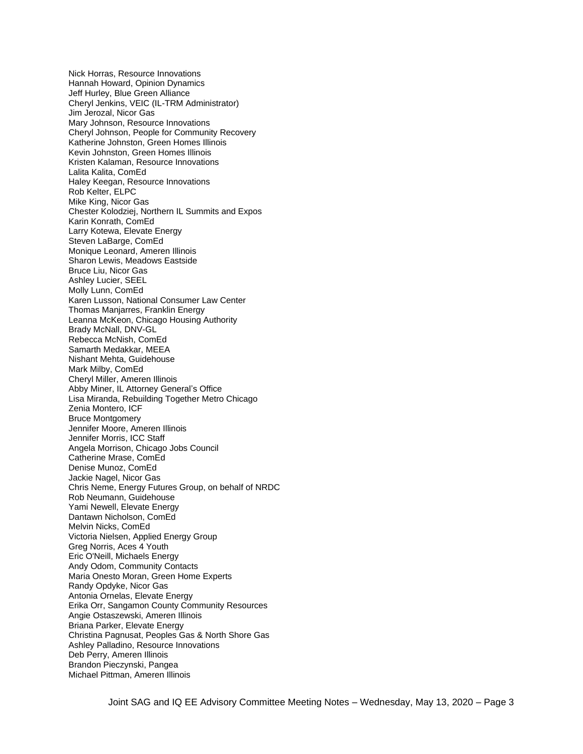Nick Horras, Resource Innovations Hannah Howard, Opinion Dynamics Jeff Hurley, Blue Green Alliance Cheryl Jenkins, VEIC (IL-TRM Administrator) Jim Jerozal, Nicor Gas Mary Johnson, Resource Innovations Cheryl Johnson, People for Community Recovery Katherine Johnston, Green Homes Illinois Kevin Johnston, Green Homes Illinois Kristen Kalaman, Resource Innovations Lalita Kalita, ComEd Haley Keegan, Resource Innovations Rob Kelter, ELPC Mike King, Nicor Gas Chester Kolodziej, Northern IL Summits and Expos Karin Konrath, ComEd Larry Kotewa, Elevate Energy Steven LaBarge, ComEd Monique Leonard, Ameren Illinois Sharon Lewis, Meadows Eastside Bruce Liu, Nicor Gas Ashley Lucier, SEEL Molly Lunn, ComEd Karen Lusson, National Consumer Law Center Thomas Manjarres, Franklin Energy Leanna McKeon, Chicago Housing Authority Brady McNall, DNV-GL Rebecca McNish, ComEd Samarth Medakkar, MEEA Nishant Mehta, Guidehouse Mark Milby, ComEd Cheryl Miller, Ameren Illinois Abby Miner, IL Attorney General's Office Lisa Miranda, Rebuilding Together Metro Chicago Zenia Montero, ICF Bruce Montgomery Jennifer Moore, Ameren Illinois Jennifer Morris, ICC Staff Angela Morrison, Chicago Jobs Council Catherine Mrase, ComEd Denise Munoz, ComEd Jackie Nagel, Nicor Gas Chris Neme, Energy Futures Group, on behalf of NRDC Rob Neumann, Guidehouse Yami Newell, Elevate Energy Dantawn Nicholson, ComEd Melvin Nicks, ComEd Victoria Nielsen, Applied Energy Group Greg Norris, Aces 4 Youth Eric O'Neill, Michaels Energy Andy Odom, Community Contacts Maria Onesto Moran, Green Home Experts Randy Opdyke, Nicor Gas Antonia Ornelas, Elevate Energy Erika Orr, Sangamon County Community Resources Angie Ostaszewski, Ameren Illinois Briana Parker, Elevate Energy Christina Pagnusat, Peoples Gas & North Shore Gas Ashley Palladino, Resource Innovations Deb Perry, Ameren Illinois Brandon Pieczynski, Pangea Michael Pittman, Ameren Illinois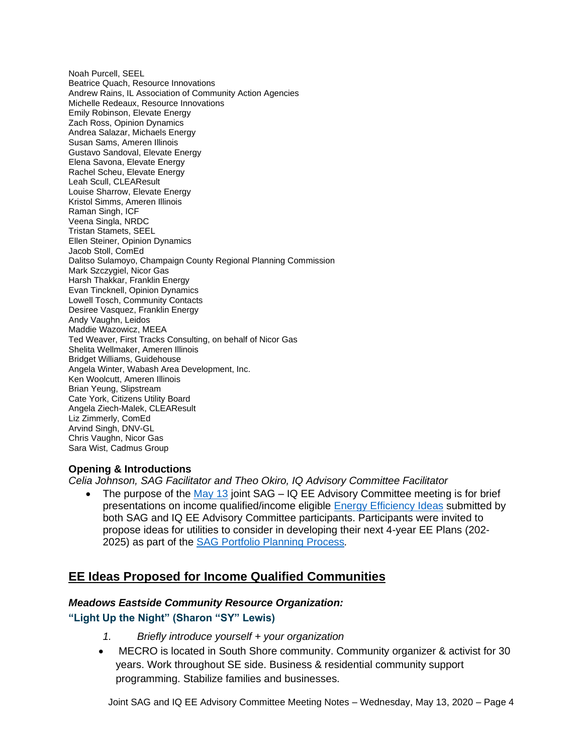Noah Purcell, SEEL Beatrice Quach, Resource Innovations Andrew Rains, IL Association of Community Action Agencies Michelle Redeaux, Resource Innovations Emily Robinson, Elevate Energy Zach Ross, Opinion Dynamics Andrea Salazar, Michaels Energy Susan Sams, Ameren Illinois Gustavo Sandoval, Elevate Energy Elena Savona, Elevate Energy Rachel Scheu, Elevate Energy Leah Scull, CLEAResult Louise Sharrow, Elevate Energy Kristol Simms, Ameren Illinois Raman Singh, ICF Veena Singla, NRDC Tristan Stamets, SEEL Ellen Steiner, Opinion Dynamics Jacob Stoll, ComEd Dalitso Sulamoyo, Champaign County Regional Planning Commission Mark Szczygiel, Nicor Gas Harsh Thakkar, Franklin Energy Evan Tincknell, Opinion Dynamics Lowell Tosch, Community Contacts Desiree Vasquez, Franklin Energy Andy Vaughn, Leidos Maddie Wazowicz, MEEA Ted Weaver, First Tracks Consulting, on behalf of Nicor Gas Shelita Wellmaker, Ameren Illinois Bridget Williams, Guidehouse Angela Winter, Wabash Area Development, Inc. Ken Woolcutt, Ameren Illinois Brian Yeung, Slipstream Cate York, Citizens Utility Board Angela Ziech-Malek, CLEAResult Liz Zimmerly, ComEd Arvind Singh, DNV-GL Chris Vaughn, Nicor Gas Sara Wist, Cadmus Group

### **Opening & Introductions**

*Celia Johnson, SAG Facilitator and Theo Okiro, IQ Advisory Committee Facilitator*

• The purpose of the [May 13](https://www.ilsag.info/event/wednesday-may-13-sag-meeting/) joint  $SAG - IQEE$  Advisory Committee meeting is for brief presentations on income qualified/income eligible [Energy Efficiency Ideas](https://www.ilsag.info/2020-energy-efficiency-ideas/) submitted by both SAG and IQ EE Advisory Committee participants. Participants were invited to propose ideas for utilities to consider in developing their next 4-year EE Plans (202- 2025) as part of the [SAG Portfolio Planning Process](https://www.ilsag.info/meetings/portfolio-planning-process/)*.* 

## **EE Ideas Proposed for Income Qualified Communities**

#### *Meadows Eastside Community Resource Organization:*

### **"Light Up the Night" (Sharon "SY" Lewis)**

- *1. Briefly introduce yourself + your organization*
- MECRO is located in South Shore community. Community organizer & activist for 30 years. Work throughout SE side. Business & residential community support programming. Stabilize families and businesses.

Joint SAG and IQ EE Advisory Committee Meeting Notes – Wednesday, May 13, 2020 – Page 4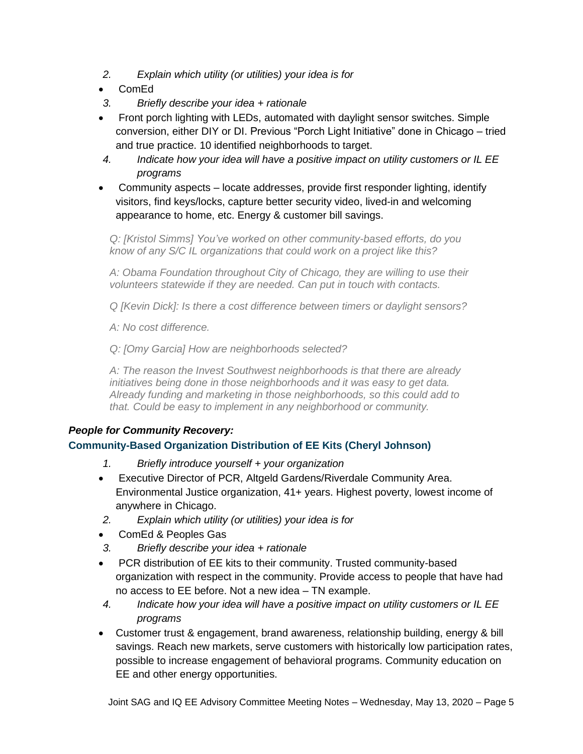- *2. Explain which utility (or utilities) your idea is for*
- ComEd
- *3. Briefly describe your idea + rationale*
- Front porch lighting with LEDs, automated with daylight sensor switches. Simple conversion, either DIY or DI. Previous "Porch Light Initiative" done in Chicago – tried and true practice. 10 identified neighborhoods to target.
- *4. Indicate how your idea will have a positive impact on utility customers or IL EE programs*
- Community aspects locate addresses, provide first responder lighting, identify visitors, find keys/locks, capture better security video, lived-in and welcoming appearance to home, etc. Energy & customer bill savings.

*Q: [Kristol Simms] You've worked on other community-based efforts, do you know of any S/C IL organizations that could work on a project like this?*

*A: Obama Foundation throughout City of Chicago, they are willing to use their volunteers statewide if they are needed. Can put in touch with contacts.*

*Q [Kevin Dick]: Is there a cost difference between timers or daylight sensors?*

*A: No cost difference.*

*Q: [Omy Garcia] How are neighborhoods selected?*

*A: The reason the Invest Southwest neighborhoods is that there are already initiatives being done in those neighborhoods and it was easy to get data. Already funding and marketing in those neighborhoods, so this could add to that. Could be easy to implement in any neighborhood or community.*

## *People for Community Recovery:*

## **Community-Based Organization Distribution of EE Kits (Cheryl Johnson)**

- *1. Briefly introduce yourself + your organization*
- Executive Director of PCR, Altgeld Gardens/Riverdale Community Area. Environmental Justice organization, 41+ years. Highest poverty, lowest income of anywhere in Chicago.
- *2. Explain which utility (or utilities) your idea is for*
- ComEd & Peoples Gas
- *3. Briefly describe your idea + rationale*
- PCR distribution of EE kits to their community. Trusted community-based organization with respect in the community. Provide access to people that have had no access to EE before. Not a new idea – TN example.
- *4. Indicate how your idea will have a positive impact on utility customers or IL EE programs*
- Customer trust & engagement, brand awareness, relationship building, energy & bill savings. Reach new markets, serve customers with historically low participation rates, possible to increase engagement of behavioral programs. Community education on EE and other energy opportunities.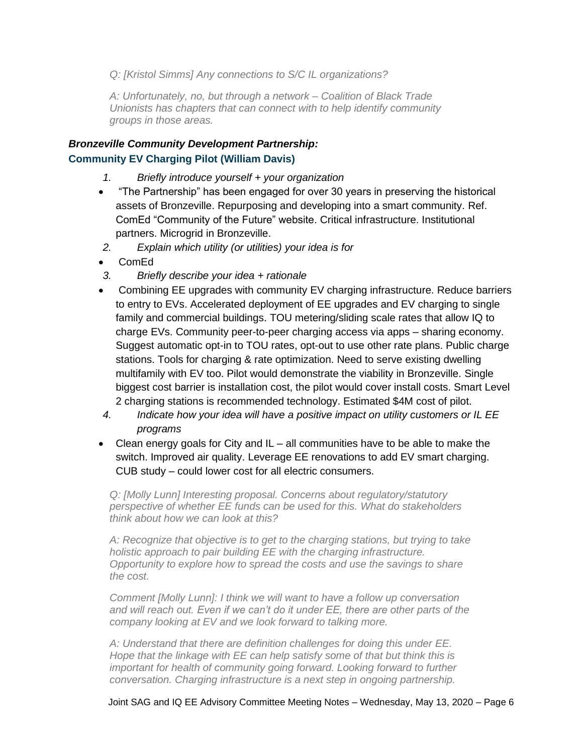*Q: [Kristol Simms] Any connections to S/C IL organizations?*

*A: Unfortunately, no, but through a network – Coalition of Black Trade Unionists has chapters that can connect with to help identify community groups in those areas.*

## *Bronzeville Community Development Partnership:* **Community EV Charging Pilot (William Davis)**

- *1. Briefly introduce yourself + your organization*
- "The Partnership" has been engaged for over 30 years in preserving the historical assets of Bronzeville. Repurposing and developing into a smart community. Ref. ComEd "Community of the Future" website. Critical infrastructure. Institutional partners. Microgrid in Bronzeville.
- *2. Explain which utility (or utilities) your idea is for*
- ComEd
- *3. Briefly describe your idea + rationale*
- Combining EE upgrades with community EV charging infrastructure. Reduce barriers to entry to EVs. Accelerated deployment of EE upgrades and EV charging to single family and commercial buildings. TOU metering/sliding scale rates that allow IQ to charge EVs. Community peer-to-peer charging access via apps – sharing economy. Suggest automatic opt-in to TOU rates, opt-out to use other rate plans. Public charge stations. Tools for charging & rate optimization. Need to serve existing dwelling multifamily with EV too. Pilot would demonstrate the viability in Bronzeville. Single biggest cost barrier is installation cost, the pilot would cover install costs. Smart Level 2 charging stations is recommended technology. Estimated \$4M cost of pilot.
- *4. Indicate how your idea will have a positive impact on utility customers or IL EE programs*
- Clean energy goals for City and IL all communities have to be able to make the switch. Improved air quality. Leverage EE renovations to add EV smart charging. CUB study – could lower cost for all electric consumers.

*Q: [Molly Lunn] Interesting proposal. Concerns about regulatory/statutory perspective of whether EE funds can be used for this. What do stakeholders think about how we can look at this?*

*A: Recognize that objective is to get to the charging stations, but trying to take holistic approach to pair building EE with the charging infrastructure. Opportunity to explore how to spread the costs and use the savings to share the cost.* 

*Comment [Molly Lunn]: I think we will want to have a follow up conversation and will reach out. Even if we can't do it under EE, there are other parts of the company looking at EV and we look forward to talking more.*

*A: Understand that there are definition challenges for doing this under EE. Hope that the linkage with EE can help satisfy some of that but think this is important for health of community going forward. Looking forward to further conversation. Charging infrastructure is a next step in ongoing partnership.*

Joint SAG and IQ EE Advisory Committee Meeting Notes – Wednesday, May 13, 2020 – Page 6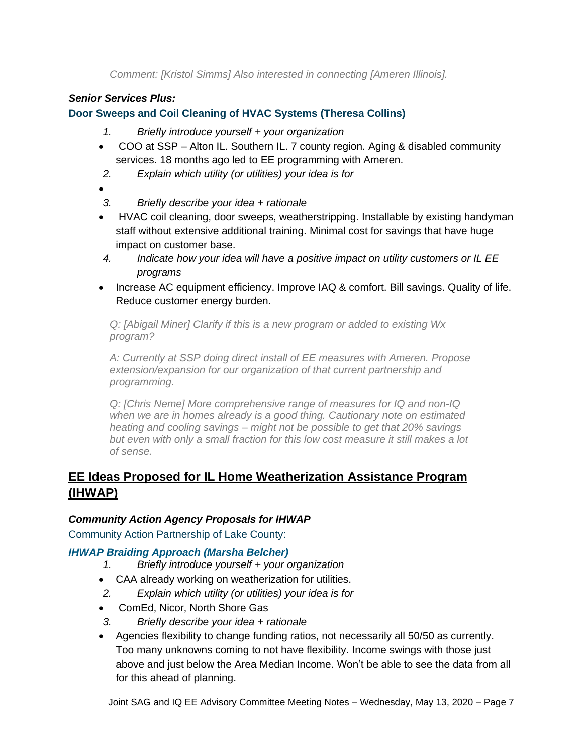*Comment: [Kristol Simms] Also interested in connecting [Ameren Illinois].*

## *Senior Services Plus:*

**Door Sweeps and Coil Cleaning of HVAC Systems (Theresa Collins)**

- *1. Briefly introduce yourself + your organization*
- COO at SSP Alton IL. Southern IL. 7 county region. Aging & disabled community services. 18 months ago led to EE programming with Ameren.
- *2. Explain which utility (or utilities) your idea is for*
- - *3. Briefly describe your idea + rationale*
- HVAC coil cleaning, door sweeps, weatherstripping. Installable by existing handyman staff without extensive additional training. Minimal cost for savings that have huge impact on customer base.
- *4. Indicate how your idea will have a positive impact on utility customers or IL EE programs*
- Increase AC equipment efficiency. Improve IAQ & comfort. Bill savings. Quality of life. Reduce customer energy burden.

*Q: [Abigail Miner] Clarify if this is a new program or added to existing Wx program?*

*A: Currently at SSP doing direct install of EE measures with Ameren. Propose extension/expansion for our organization of that current partnership and programming.*

*Q: [Chris Neme] More comprehensive range of measures for IQ and non-IQ when we are in homes already is a good thing. Cautionary note on estimated heating and cooling savings – might not be possible to get that 20% savings but even with only a small fraction for this low cost measure it still makes a lot of sense.*

# **EE Ideas Proposed for IL Home Weatherization Assistance Program (IHWAP)**

## *Community Action Agency Proposals for IHWAP*

Community Action Partnership of Lake County:

## *IHWAP Braiding Approach (Marsha Belcher)*

- *1. Briefly introduce yourself + your organization*
- CAA already working on weatherization for utilities.
- *2. Explain which utility (or utilities) your idea is for*
- ComEd, Nicor, North Shore Gas
- *3. Briefly describe your idea + rationale*
- Agencies flexibility to change funding ratios, not necessarily all 50/50 as currently. Too many unknowns coming to not have flexibility. Income swings with those just above and just below the Area Median Income. Won't be able to see the data from all for this ahead of planning.

Joint SAG and IQ EE Advisory Committee Meeting Notes – Wednesday, May 13, 2020 – Page 7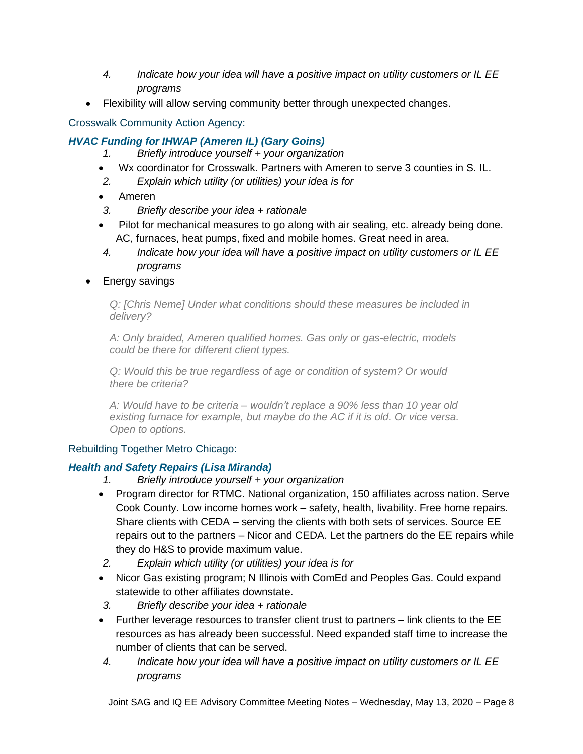- *4. Indicate how your idea will have a positive impact on utility customers or IL EE programs*
- Flexibility will allow serving community better through unexpected changes.

## Crosswalk Community Action Agency:

## *HVAC Funding for IHWAP (Ameren IL) (Gary Goins)*

- *1. Briefly introduce yourself + your organization*
- Wx coordinator for Crosswalk. Partners with Ameren to serve 3 counties in S. IL.
- *2. Explain which utility (or utilities) your idea is for*
- Ameren
- *3. Briefly describe your idea + rationale*
- Pilot for mechanical measures to go along with air sealing, etc. already being done. AC, furnaces, heat pumps, fixed and mobile homes. Great need in area.
- *4. Indicate how your idea will have a positive impact on utility customers or IL EE programs*
- Energy savings

*Q: [Chris Neme] Under what conditions should these measures be included in delivery?*

*A: Only braided, Ameren qualified homes. Gas only or gas-electric, models could be there for different client types.*

*Q: Would this be true regardless of age or condition of system? Or would there be criteria?*

*A: Would have to be criteria – wouldn't replace a 90% less than 10 year old existing furnace for example, but maybe do the AC if it is old. Or vice versa. Open to options.*

## Rebuilding Together Metro Chicago:

## *Health and Safety Repairs (Lisa Miranda)*

- *1. Briefly introduce yourself + your organization*
- Program director for RTMC. National organization, 150 affiliates across nation. Serve Cook County. Low income homes work – safety, health, livability. Free home repairs. Share clients with CEDA – serving the clients with both sets of services. Source EE repairs out to the partners – Nicor and CEDA. Let the partners do the EE repairs while they do H&S to provide maximum value.
- *2. Explain which utility (or utilities) your idea is for*
- Nicor Gas existing program; N Illinois with ComEd and Peoples Gas. Could expand statewide to other affiliates downstate.
- *3. Briefly describe your idea + rationale*
- Further leverage resources to transfer client trust to partners link clients to the EE resources as has already been successful. Need expanded staff time to increase the number of clients that can be served.
- *4. Indicate how your idea will have a positive impact on utility customers or IL EE programs*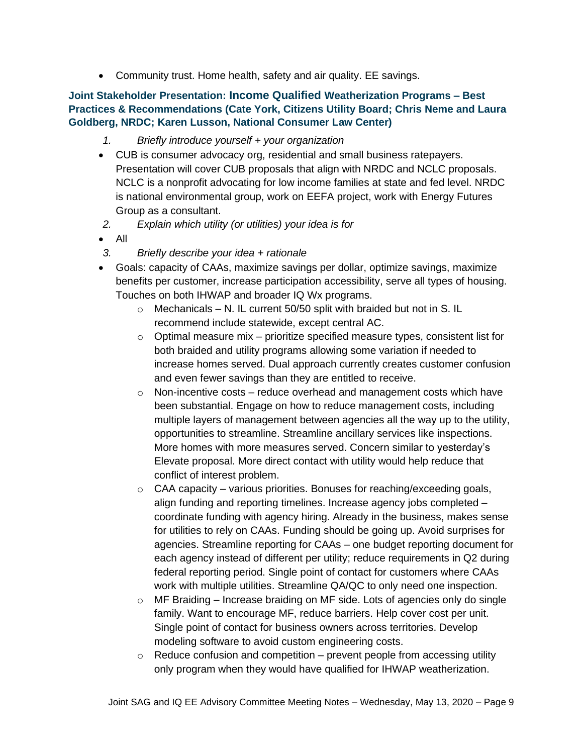• Community trust. Home health, safety and air quality. EE savings.

### **Joint Stakeholder Presentation: Income Qualified Weatherization Programs – Best Practices & Recommendations (Cate York, Citizens Utility Board; Chris Neme and Laura Goldberg, NRDC; Karen Lusson, National Consumer Law Center)**

- *1. Briefly introduce yourself + your organization*
- CUB is consumer advocacy org, residential and small business ratepayers. Presentation will cover CUB proposals that align with NRDC and NCLC proposals. NCLC is a nonprofit advocating for low income families at state and fed level. NRDC is national environmental group, work on EEFA project, work with Energy Futures Group as a consultant.
- *2. Explain which utility (or utilities) your idea is for*
- All
- *3. Briefly describe your idea + rationale*
- Goals: capacity of CAAs, maximize savings per dollar, optimize savings, maximize benefits per customer, increase participation accessibility, serve all types of housing. Touches on both IHWAP and broader IQ Wx programs.
	- $\circ$  Mechanicals N. IL current 50/50 split with braided but not in S. IL recommend include statewide, except central AC.
	- $\circ$  Optimal measure mix prioritize specified measure types, consistent list for both braided and utility programs allowing some variation if needed to increase homes served. Dual approach currently creates customer confusion and even fewer savings than they are entitled to receive.
	- $\circ$  Non-incentive costs reduce overhead and management costs which have been substantial. Engage on how to reduce management costs, including multiple layers of management between agencies all the way up to the utility, opportunities to streamline. Streamline ancillary services like inspections. More homes with more measures served. Concern similar to yesterday's Elevate proposal. More direct contact with utility would help reduce that conflict of interest problem.
	- $\circ$  CAA capacity various priorities. Bonuses for reaching/exceeding goals, align funding and reporting timelines. Increase agency jobs completed – coordinate funding with agency hiring. Already in the business, makes sense for utilities to rely on CAAs. Funding should be going up. Avoid surprises for agencies. Streamline reporting for CAAs – one budget reporting document for each agency instead of different per utility; reduce requirements in Q2 during federal reporting period. Single point of contact for customers where CAAs work with multiple utilities. Streamline QA/QC to only need one inspection.
	- $\circ$  MF Braiding Increase braiding on MF side. Lots of agencies only do single family. Want to encourage MF, reduce barriers. Help cover cost per unit. Single point of contact for business owners across territories. Develop modeling software to avoid custom engineering costs.
	- $\circ$  Reduce confusion and competition prevent people from accessing utility only program when they would have qualified for IHWAP weatherization.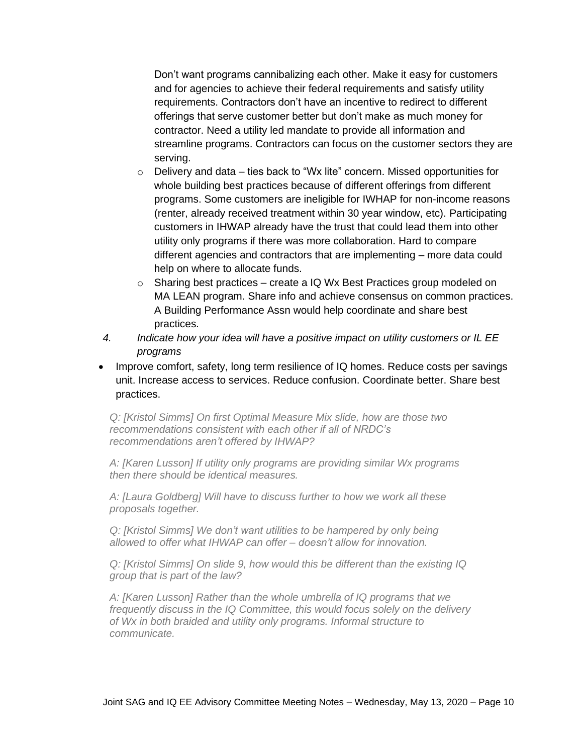Don't want programs cannibalizing each other. Make it easy for customers and for agencies to achieve their federal requirements and satisfy utility requirements. Contractors don't have an incentive to redirect to different offerings that serve customer better but don't make as much money for contractor. Need a utility led mandate to provide all information and streamline programs. Contractors can focus on the customer sectors they are serving.

- $\circ$  Delivery and data ties back to "Wx lite" concern. Missed opportunities for whole building best practices because of different offerings from different programs. Some customers are ineligible for IWHAP for non-income reasons (renter, already received treatment within 30 year window, etc). Participating customers in IHWAP already have the trust that could lead them into other utility only programs if there was more collaboration. Hard to compare different agencies and contractors that are implementing – more data could help on where to allocate funds.
- o Sharing best practices create a IQ Wx Best Practices group modeled on MA LEAN program. Share info and achieve consensus on common practices. A Building Performance Assn would help coordinate and share best practices.
- *4. Indicate how your idea will have a positive impact on utility customers or IL EE programs*
- Improve comfort, safety, long term resilience of IQ homes. Reduce costs per savings unit. Increase access to services. Reduce confusion. Coordinate better. Share best practices.

*Q: [Kristol Simms] On first Optimal Measure Mix slide, how are those two recommendations consistent with each other if all of NRDC's recommendations aren't offered by IHWAP?*

*A: [Karen Lusson] If utility only programs are providing similar Wx programs then there should be identical measures.*

*A: [Laura Goldberg] Will have to discuss further to how we work all these proposals together.*

*Q: [Kristol Simms] We don't want utilities to be hampered by only being allowed to offer what IHWAP can offer – doesn't allow for innovation.*

*Q: [Kristol Simms] On slide 9, how would this be different than the existing IQ group that is part of the law?*

*A: [Karen Lusson] Rather than the whole umbrella of IQ programs that we frequently discuss in the IQ Committee, this would focus solely on the delivery of Wx in both braided and utility only programs. Informal structure to communicate.*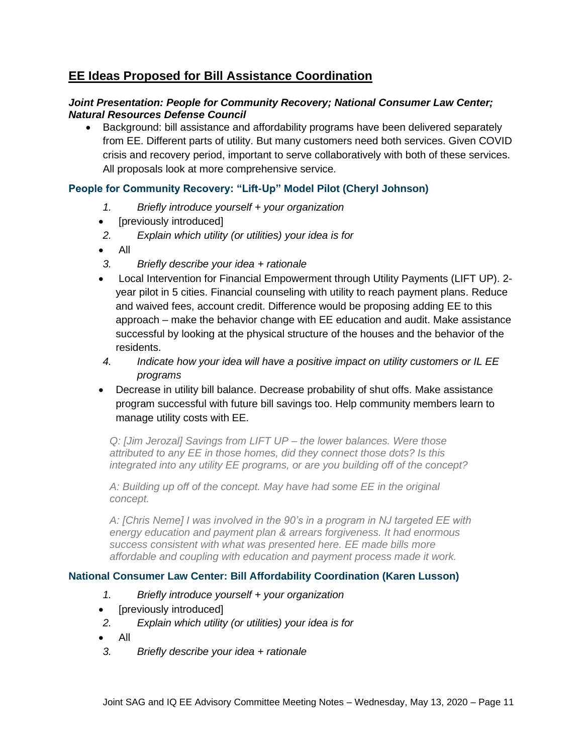# **EE Ideas Proposed for Bill Assistance Coordination**

### *Joint Presentation: People for Community Recovery; National Consumer Law Center; Natural Resources Defense Council*

• Background: bill assistance and affordability programs have been delivered separately from EE. Different parts of utility. But many customers need both services. Given COVID crisis and recovery period, important to serve collaboratively with both of these services. All proposals look at more comprehensive service.

## **People for Community Recovery: "Lift-Up" Model Pilot (Cheryl Johnson)**

- *1. Briefly introduce yourself + your organization*
- [previously introduced]
- *2. Explain which utility (or utilities) your idea is for*
- All
- *3. Briefly describe your idea + rationale*
- Local Intervention for Financial Empowerment through Utility Payments (LIFT UP). 2 year pilot in 5 cities. Financial counseling with utility to reach payment plans. Reduce and waived fees, account credit. Difference would be proposing adding EE to this approach – make the behavior change with EE education and audit. Make assistance successful by looking at the physical structure of the houses and the behavior of the residents.
- *4. Indicate how your idea will have a positive impact on utility customers or IL EE programs*
- Decrease in utility bill balance. Decrease probability of shut offs. Make assistance program successful with future bill savings too. Help community members learn to manage utility costs with EE.

*Q: [Jim Jerozal] Savings from LIFT UP – the lower balances. Were those attributed to any EE in those homes, did they connect those dots? Is this integrated into any utility EE programs, or are you building off of the concept?*

*A: Building up off of the concept. May have had some EE in the original concept.* 

*A: [Chris Neme] I was involved in the 90's in a program in NJ targeted EE with energy education and payment plan & arrears forgiveness. It had enormous success consistent with what was presented here. EE made bills more affordable and coupling with education and payment process made it work.*

## **National Consumer Law Center: Bill Affordability Coordination (Karen Lusson)**

- *1. Briefly introduce yourself + your organization*
- [previously introduced]
- *2. Explain which utility (or utilities) your idea is for*
- All
- *3. Briefly describe your idea + rationale*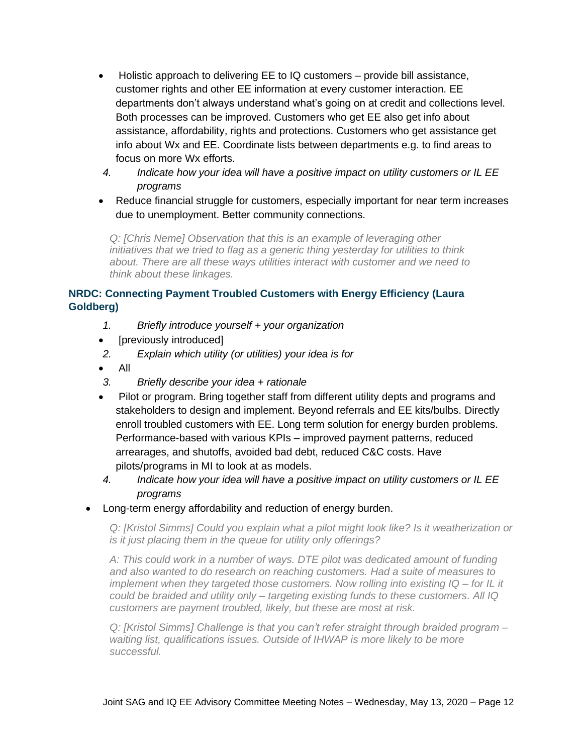- Holistic approach to delivering EE to IQ customers provide bill assistance, customer rights and other EE information at every customer interaction. EE departments don't always understand what's going on at credit and collections level. Both processes can be improved. Customers who get EE also get info about assistance, affordability, rights and protections. Customers who get assistance get info about Wx and EE. Coordinate lists between departments e.g. to find areas to focus on more Wx efforts.
- *4. Indicate how your idea will have a positive impact on utility customers or IL EE programs*
- Reduce financial struggle for customers, especially important for near term increases due to unemployment. Better community connections.

*Q: [Chris Neme] Observation that this is an example of leveraging other initiatives that we tried to flag as a generic thing yesterday for utilities to think about. There are all these ways utilities interact with customer and we need to think about these linkages.*

### **NRDC: Connecting Payment Troubled Customers with Energy Efficiency (Laura Goldberg)**

- *1. Briefly introduce yourself + your organization*
- [previously introduced]
- *2. Explain which utility (or utilities) your idea is for*
- All
- *3. Briefly describe your idea + rationale*
- Pilot or program. Bring together staff from different utility depts and programs and stakeholders to design and implement. Beyond referrals and EE kits/bulbs. Directly enroll troubled customers with EE. Long term solution for energy burden problems. Performance-based with various KPIs – improved payment patterns, reduced arrearages, and shutoffs, avoided bad debt, reduced C&C costs. Have pilots/programs in MI to look at as models.
- *4. Indicate how your idea will have a positive impact on utility customers or IL EE programs*
- Long-term energy affordability and reduction of energy burden.

*Q: [Kristol Simms] Could you explain what a pilot might look like? Is it weatherization or is it just placing them in the queue for utility only offerings?*

*A: This could work in a number of ways. DTE pilot was dedicated amount of funding and also wanted to do research on reaching customers. Had a suite of measures to implement when they targeted those customers. Now rolling into existing IQ – for IL it could be braided and utility only – targeting existing funds to these customers. All IQ customers are payment troubled, likely, but these are most at risk.*

*Q: [Kristol Simms] Challenge is that you can't refer straight through braided program – waiting list, qualifications issues. Outside of IHWAP is more likely to be more successful.*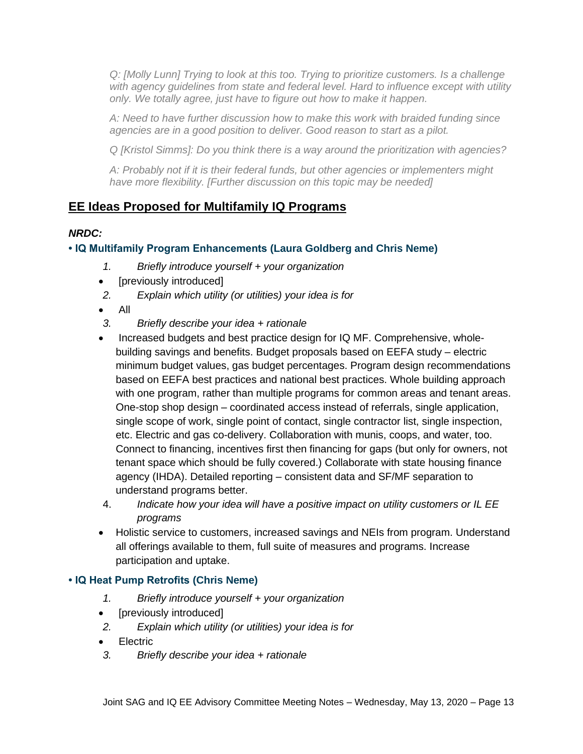*Q: [Molly Lunn] Trying to look at this too. Trying to prioritize customers. Is a challenge with agency guidelines from state and federal level. Hard to influence except with utility only. We totally agree, just have to figure out how to make it happen.* 

*A: Need to have further discussion how to make this work with braided funding since agencies are in a good position to deliver. Good reason to start as a pilot.*

*Q [Kristol Simms]: Do you think there is a way around the prioritization with agencies?*

*A: Probably not if it is their federal funds, but other agencies or implementers might have more flexibility. [Further discussion on this topic may be needed]*

# **EE Ideas Proposed for Multifamily IQ Programs**

## *NRDC:*

## **• IQ Multifamily Program Enhancements (Laura Goldberg and Chris Neme)**

- *1. Briefly introduce yourself + your organization*
- [previously introduced]
- *2. Explain which utility (or utilities) your idea is for*
- All
- *3. Briefly describe your idea + rationale*
- Increased budgets and best practice design for IQ MF. Comprehensive, wholebuilding savings and benefits. Budget proposals based on EEFA study – electric minimum budget values, gas budget percentages. Program design recommendations based on EEFA best practices and national best practices. Whole building approach with one program, rather than multiple programs for common areas and tenant areas. One-stop shop design – coordinated access instead of referrals, single application, single scope of work, single point of contact, single contractor list, single inspection, etc. Electric and gas co-delivery. Collaboration with munis, coops, and water, too. Connect to financing, incentives first then financing for gaps (but only for owners, not tenant space which should be fully covered.) Collaborate with state housing finance agency (IHDA). Detailed reporting – consistent data and SF/MF separation to understand programs better.
- 4. *Indicate how your idea will have a positive impact on utility customers or IL EE programs*
- Holistic service to customers, increased savings and NEIs from program. Understand all offerings available to them, full suite of measures and programs. Increase participation and uptake.

## **• IQ Heat Pump Retrofits (Chris Neme)**

- *1. Briefly introduce yourself + your organization*
- [previously introduced]
- *2. Explain which utility (or utilities) your idea is for*
- Electric
- *3. Briefly describe your idea + rationale*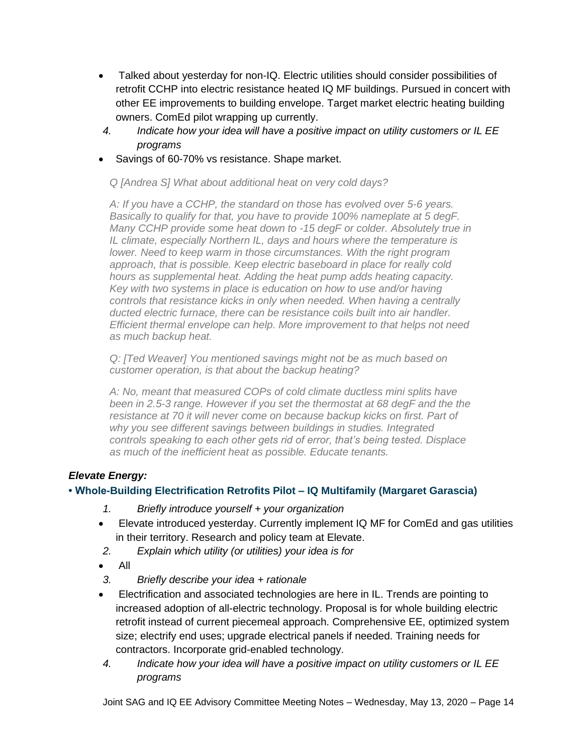- Talked about yesterday for non-IQ. Electric utilities should consider possibilities of retrofit CCHP into electric resistance heated IQ MF buildings. Pursued in concert with other EE improvements to building envelope. Target market electric heating building owners. ComEd pilot wrapping up currently.
- *4. Indicate how your idea will have a positive impact on utility customers or IL EE programs*
- Savings of 60-70% vs resistance. Shape market.

*Q [Andrea S] What about additional heat on very cold days?*

*A: If you have a CCHP, the standard on those has evolved over 5-6 years. Basically to qualify for that, you have to provide 100% nameplate at 5 degF. Many CCHP provide some heat down to -15 degF or colder. Absolutely true in IL climate, especially Northern IL, days and hours where the temperature is lower. Need to keep warm in those circumstances. With the right program approach, that is possible. Keep electric baseboard in place for really cold hours as supplemental heat. Adding the heat pump adds heating capacity. Key with two systems in place is education on how to use and/or having controls that resistance kicks in only when needed. When having a centrally ducted electric furnace, there can be resistance coils built into air handler. Efficient thermal envelope can help. More improvement to that helps not need as much backup heat.* 

*Q: [Ted Weaver] You mentioned savings might not be as much based on customer operation, is that about the backup heating?*

*A: No, meant that measured COPs of cold climate ductless mini splits have been in 2.5-3 range. However if you set the thermostat at 68 degF and the the resistance at 70 it will never come on because backup kicks on first. Part of why you see different savings between buildings in studies. Integrated controls speaking to each other gets rid of error, that's being tested. Displace as much of the inefficient heat as possible. Educate tenants.*

## *Elevate Energy:*

## **• Whole-Building Electrification Retrofits Pilot – IQ Multifamily (Margaret Garascia)**

- *1. Briefly introduce yourself + your organization*
- Elevate introduced yesterday. Currently implement IQ MF for ComEd and gas utilities in their territory. Research and policy team at Elevate.
- *2. Explain which utility (or utilities) your idea is for*
- All
- *3. Briefly describe your idea + rationale*
- Electrification and associated technologies are here in IL. Trends are pointing to increased adoption of all-electric technology. Proposal is for whole building electric retrofit instead of current piecemeal approach. Comprehensive EE, optimized system size; electrify end uses; upgrade electrical panels if needed. Training needs for contractors. Incorporate grid-enabled technology.
- *4. Indicate how your idea will have a positive impact on utility customers or IL EE programs*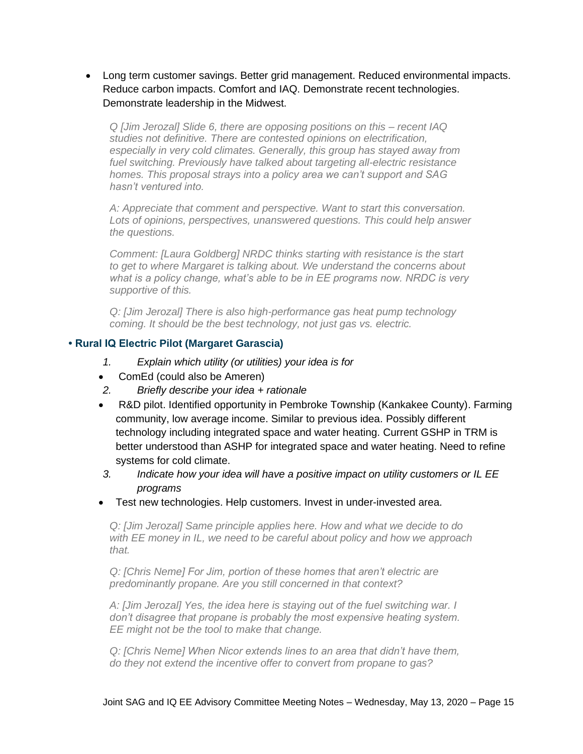• Long term customer savings. Better grid management. Reduced environmental impacts. Reduce carbon impacts. Comfort and IAQ. Demonstrate recent technologies. Demonstrate leadership in the Midwest.

*Q [Jim Jerozal] Slide 6, there are opposing positions on this – recent IAQ studies not definitive. There are contested opinions on electrification, especially in very cold climates. Generally, this group has stayed away from fuel switching. Previously have talked about targeting all-electric resistance homes. This proposal strays into a policy area we can't support and SAG hasn't ventured into.*

*A: Appreciate that comment and perspective. Want to start this conversation. Lots of opinions, perspectives, unanswered questions. This could help answer the questions.*

*Comment: [Laura Goldberg] NRDC thinks starting with resistance is the start to get to where Margaret is talking about. We understand the concerns about what is a policy change, what's able to be in EE programs now. NRDC is very supportive of this.*

*Q: [Jim Jerozal] There is also high-performance gas heat pump technology coming. It should be the best technology, not just gas vs. electric.* 

### **• Rural IQ Electric Pilot (Margaret Garascia)**

- *1. Explain which utility (or utilities) your idea is for*
- ComEd (could also be Ameren)
- *2. Briefly describe your idea + rationale*
- R&D pilot. Identified opportunity in Pembroke Township (Kankakee County). Farming community, low average income. Similar to previous idea. Possibly different technology including integrated space and water heating. Current GSHP in TRM is better understood than ASHP for integrated space and water heating. Need to refine systems for cold climate.
- *3. Indicate how your idea will have a positive impact on utility customers or IL EE programs*
- Test new technologies. Help customers. Invest in under-invested area.

*Q: [Jim Jerozal] Same principle applies here. How and what we decide to do with EE money in IL, we need to be careful about policy and how we approach that.* 

*Q: [Chris Neme] For Jim, portion of these homes that aren't electric are predominantly propane. Are you still concerned in that context?*

*A: [Jim Jerozal] Yes, the idea here is staying out of the fuel switching war. I don't disagree that propane is probably the most expensive heating system. EE might not be the tool to make that change.*

*Q: [Chris Neme] When Nicor extends lines to an area that didn't have them, do they not extend the incentive offer to convert from propane to gas?*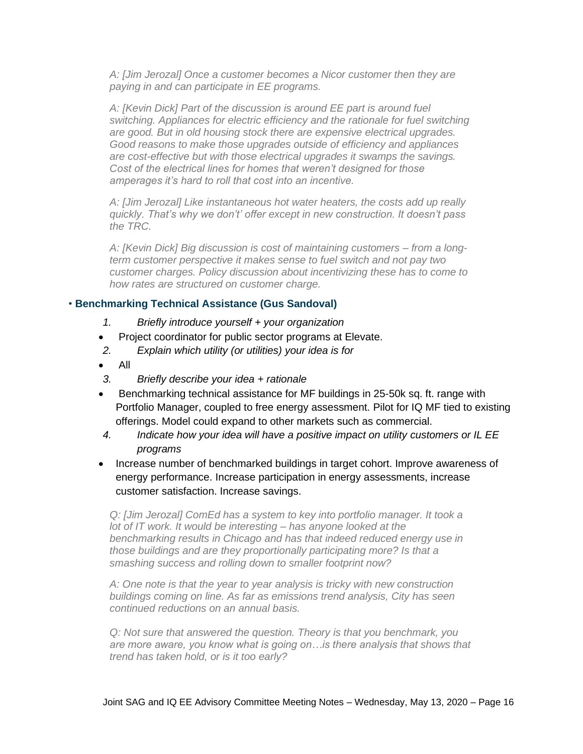*A: [Jim Jerozal] Once a customer becomes a Nicor customer then they are paying in and can participate in EE programs.* 

*A: [Kevin Dick] Part of the discussion is around EE part is around fuel switching. Appliances for electric efficiency and the rationale for fuel switching are good. But in old housing stock there are expensive electrical upgrades. Good reasons to make those upgrades outside of efficiency and appliances are cost-effective but with those electrical upgrades it swamps the savings. Cost of the electrical lines for homes that weren't designed for those amperages it's hard to roll that cost into an incentive.*

*A: [Jim Jerozal] Like instantaneous hot water heaters, the costs add up really quickly. That's why we don't' offer except in new construction. It doesn't pass the TRC.* 

*A: [Kevin Dick] Big discussion is cost of maintaining customers – from a longterm customer perspective it makes sense to fuel switch and not pay two customer charges. Policy discussion about incentivizing these has to come to how rates are structured on customer charge.*

### • **Benchmarking Technical Assistance (Gus Sandoval)**

- *1. Briefly introduce yourself + your organization*
- Project coordinator for public sector programs at Elevate.
- *2. Explain which utility (or utilities) your idea is for*
- All
- *3. Briefly describe your idea + rationale*
- Benchmarking technical assistance for MF buildings in 25-50k sq. ft. range with Portfolio Manager, coupled to free energy assessment. Pilot for IQ MF tied to existing offerings. Model could expand to other markets such as commercial.
- *4. Indicate how your idea will have a positive impact on utility customers or IL EE programs*
- Increase number of benchmarked buildings in target cohort. Improve awareness of energy performance. Increase participation in energy assessments, increase customer satisfaction. Increase savings.

*Q: [Jim Jerozal] ComEd has a system to key into portfolio manager. It took a lot of IT work. It would be interesting – has anyone looked at the benchmarking results in Chicago and has that indeed reduced energy use in those buildings and are they proportionally participating more? Is that a smashing success and rolling down to smaller footprint now?*

*A: One note is that the year to year analysis is tricky with new construction buildings coming on line. As far as emissions trend analysis, City has seen continued reductions on an annual basis.* 

*Q: Not sure that answered the question. Theory is that you benchmark, you are more aware, you know what is going on…is there analysis that shows that trend has taken hold, or is it too early?*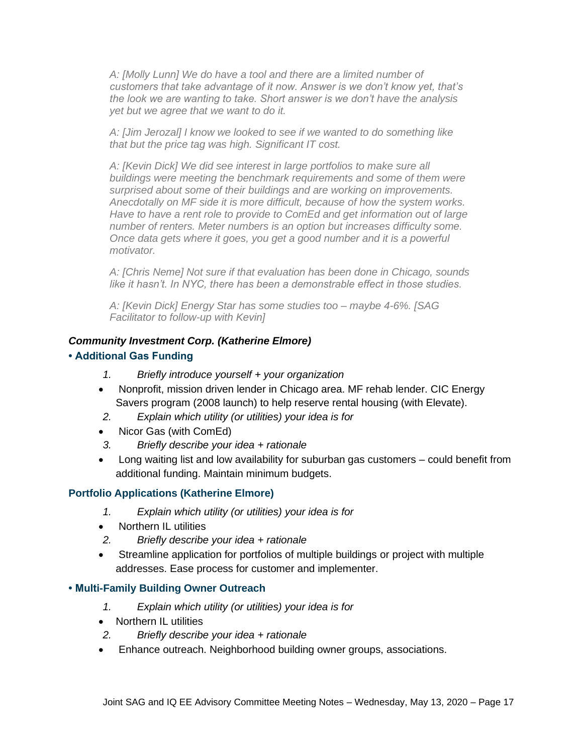*A: [Molly Lunn] We do have a tool and there are a limited number of customers that take advantage of it now. Answer is we don't know yet, that's the look we are wanting to take. Short answer is we don't have the analysis yet but we agree that we want to do it.*

*A: [Jim Jerozal] I know we looked to see if we wanted to do something like that but the price tag was high. Significant IT cost.*

*A: [Kevin Dick] We did see interest in large portfolios to make sure all buildings were meeting the benchmark requirements and some of them were surprised about some of their buildings and are working on improvements. Anecdotally on MF side it is more difficult, because of how the system works. Have to have a rent role to provide to ComEd and get information out of large number of renters. Meter numbers is an option but increases difficulty some. Once data gets where it goes, you get a good number and it is a powerful motivator.*

*A: [Chris Neme] Not sure if that evaluation has been done in Chicago, sounds like it hasn't. In NYC, there has been a demonstrable effect in those studies.* 

*A: [Kevin Dick] Energy Star has some studies too – maybe 4-6%. [SAG Facilitator to follow-up with Kevin]*

### *Community Investment Corp. (Katherine Elmore)*

### **• Additional Gas Funding**

- *1. Briefly introduce yourself + your organization*
- Nonprofit, mission driven lender in Chicago area. MF rehab lender. CIC Energy Savers program (2008 launch) to help reserve rental housing (with Elevate).
- *2. Explain which utility (or utilities) your idea is for*
- Nicor Gas (with ComEd)
- *3. Briefly describe your idea + rationale*
- Long waiting list and low availability for suburban gas customers could benefit from additional funding. Maintain minimum budgets.

#### **Portfolio Applications (Katherine Elmore)**

- *1. Explain which utility (or utilities) your idea is for*
- Northern IL utilities
- *2. Briefly describe your idea + rationale*
- Streamline application for portfolios of multiple buildings or project with multiple addresses. Ease process for customer and implementer.

#### **• Multi-Family Building Owner Outreach**

- *1. Explain which utility (or utilities) your idea is for*
- Northern IL utilities
- *2. Briefly describe your idea + rationale*
- Enhance outreach. Neighborhood building owner groups, associations.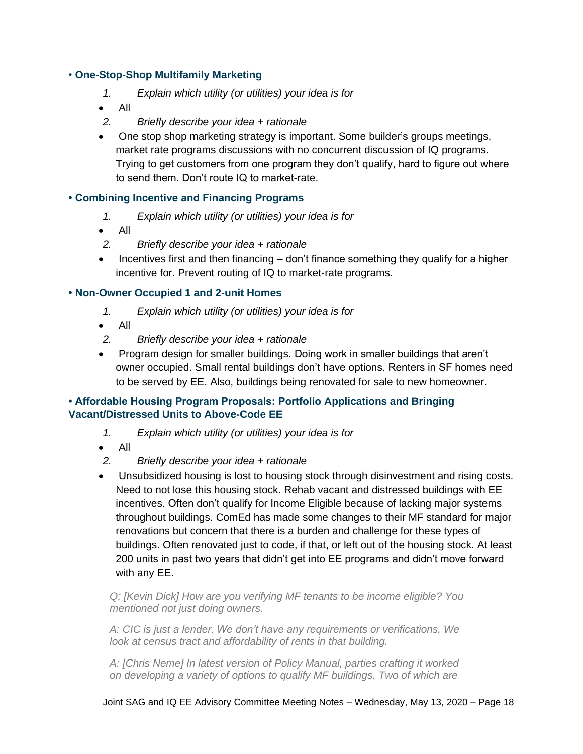### • **One-Stop-Shop Multifamily Marketing**

- *1. Explain which utility (or utilities) your idea is for*
- All
- *2. Briefly describe your idea + rationale*
- One stop shop marketing strategy is important. Some builder's groups meetings, market rate programs discussions with no concurrent discussion of IQ programs. Trying to get customers from one program they don't qualify, hard to figure out where to send them. Don't route IQ to market-rate.

### **• Combining Incentive and Financing Programs**

- *1. Explain which utility (or utilities) your idea is for*
- All
- *2. Briefly describe your idea + rationale*
- Incentives first and then financing don't finance something they qualify for a higher incentive for. Prevent routing of IQ to market-rate programs.

### **• Non-Owner Occupied 1 and 2-unit Homes**

- *1. Explain which utility (or utilities) your idea is for*
- All
- *2. Briefly describe your idea + rationale*
- Program design for smaller buildings. Doing work in smaller buildings that aren't owner occupied. Small rental buildings don't have options. Renters in SF homes need to be served by EE. Also, buildings being renovated for sale to new homeowner.

### **• Affordable Housing Program Proposals: Portfolio Applications and Bringing Vacant/Distressed Units to Above-Code EE**

- *1. Explain which utility (or utilities) your idea is for*
- All
- *2. Briefly describe your idea + rationale*
- Unsubsidized housing is lost to housing stock through disinvestment and rising costs. Need to not lose this housing stock. Rehab vacant and distressed buildings with EE incentives. Often don't qualify for Income Eligible because of lacking major systems throughout buildings. ComEd has made some changes to their MF standard for major renovations but concern that there is a burden and challenge for these types of buildings. Often renovated just to code, if that, or left out of the housing stock. At least 200 units in past two years that didn't get into EE programs and didn't move forward with any EE.

*Q: [Kevin Dick] How are you verifying MF tenants to be income eligible? You mentioned not just doing owners.*

*A: CIC is just a lender. We don't have any requirements or verifications. We look at census tract and affordability of rents in that building.*

*A: [Chris Neme] In latest version of Policy Manual, parties crafting it worked on developing a variety of options to qualify MF buildings. Two of which are*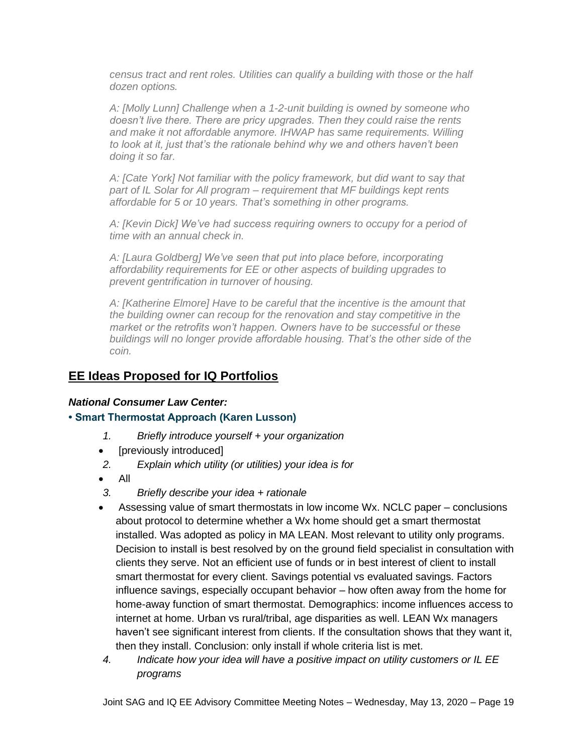*census tract and rent roles. Utilities can qualify a building with those or the half dozen options.*

*A: [Molly Lunn] Challenge when a 1-2-unit building is owned by someone who doesn't live there. There are pricy upgrades. Then they could raise the rents*  and make it not affordable anymore. IHWAP has same requirements. Willing *to look at it, just that's the rationale behind why we and others haven't been doing it so far.*

*A: [Cate York] Not familiar with the policy framework, but did want to say that part of IL Solar for All program – requirement that MF buildings kept rents affordable for 5 or 10 years. That's something in other programs.*

*A: [Kevin Dick] We've had success requiring owners to occupy for a period of time with an annual check in.*

*A: [Laura Goldberg] We've seen that put into place before, incorporating affordability requirements for EE or other aspects of building upgrades to prevent gentrification in turnover of housing.*

*A: [Katherine Elmore] Have to be careful that the incentive is the amount that the building owner can recoup for the renovation and stay competitive in the market or the retrofits won't happen. Owners have to be successful or these buildings will no longer provide affordable housing. That's the other side of the coin.*

## **EE Ideas Proposed for IQ Portfolios**

### *National Consumer Law Center:*

## **• Smart Thermostat Approach (Karen Lusson)**

- *1. Briefly introduce yourself + your organization*
- [previously introduced]
- *2. Explain which utility (or utilities) your idea is for*
- All
- *3. Briefly describe your idea + rationale*
- Assessing value of smart thermostats in low income Wx. NCLC paper conclusions about protocol to determine whether a Wx home should get a smart thermostat installed. Was adopted as policy in MA LEAN. Most relevant to utility only programs. Decision to install is best resolved by on the ground field specialist in consultation with clients they serve. Not an efficient use of funds or in best interest of client to install smart thermostat for every client. Savings potential vs evaluated savings. Factors influence savings, especially occupant behavior – how often away from the home for home-away function of smart thermostat. Demographics: income influences access to internet at home. Urban vs rural/tribal, age disparities as well. LEAN Wx managers haven't see significant interest from clients. If the consultation shows that they want it, then they install. Conclusion: only install if whole criteria list is met.
- *4. Indicate how your idea will have a positive impact on utility customers or IL EE programs*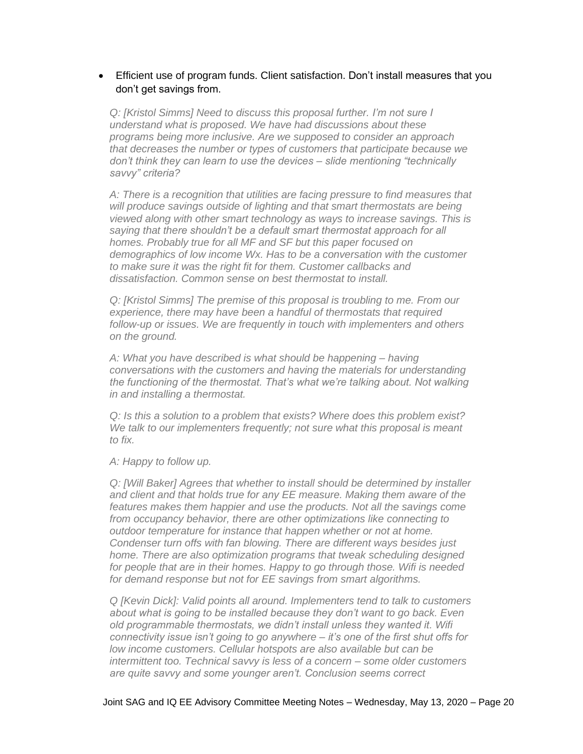### • Efficient use of program funds. Client satisfaction. Don't install measures that you don't get savings from.

*Q: [Kristol Simms] Need to discuss this proposal further. I'm not sure I understand what is proposed. We have had discussions about these programs being more inclusive. Are we supposed to consider an approach that decreases the number or types of customers that participate because we don't think they can learn to use the devices – slide mentioning "technically savvy" criteria?*

*A: There is a recognition that utilities are facing pressure to find measures that will produce savings outside of lighting and that smart thermostats are being viewed along with other smart technology as ways to increase savings. This is saying that there shouldn't be a default smart thermostat approach for all homes. Probably true for all MF and SF but this paper focused on demographics of low income Wx. Has to be a conversation with the customer to make sure it was the right fit for them. Customer callbacks and dissatisfaction. Common sense on best thermostat to install.*

*Q: [Kristol Simms] The premise of this proposal is troubling to me. From our experience, there may have been a handful of thermostats that required follow-up or issues. We are frequently in touch with implementers and others on the ground.*

*A: What you have described is what should be happening – having conversations with the customers and having the materials for understanding the functioning of the thermostat. That's what we're talking about. Not walking in and installing a thermostat.*

*Q: Is this a solution to a problem that exists? Where does this problem exist? We talk to our implementers frequently; not sure what this proposal is meant to fix.*

*A: Happy to follow up.* 

*Q: [Will Baker] Agrees that whether to install should be determined by installer and client and that holds true for any EE measure. Making them aware of the*  features makes them happier and use the products. Not all the savings come *from occupancy behavior, there are other optimizations like connecting to outdoor temperature for instance that happen whether or not at home. Condenser turn offs with fan blowing. There are different ways besides just home. There are also optimization programs that tweak scheduling designed for people that are in their homes. Happy to go through those. Wifi is needed for demand response but not for EE savings from smart algorithms.* 

*Q [Kevin Dick]: Valid points all around. Implementers tend to talk to customers about what is going to be installed because they don't want to go back. Even old programmable thermostats, we didn't install unless they wanted it. Wifi connectivity issue isn't going to go anywhere – it's one of the first shut offs for low income customers. Cellular hotspots are also available but can be intermittent too. Technical savvy is less of a concern – some older customers are quite savvy and some younger aren't. Conclusion seems correct*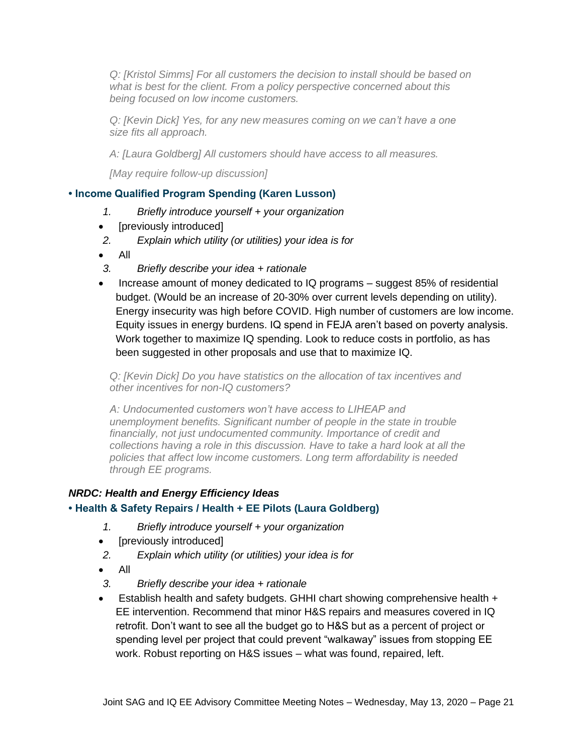*Q: [Kristol Simms] For all customers the decision to install should be based on what is best for the client. From a policy perspective concerned about this being focused on low income customers.*

*Q: [Kevin Dick] Yes, for any new measures coming on we can't have a one size fits all approach.*

*A: [Laura Goldberg] All customers should have access to all measures.* 

*[May require follow-up discussion]*

### **• Income Qualified Program Spending (Karen Lusson)**

- *1. Briefly introduce yourself + your organization*
- [previously introduced]
- *2. Explain which utility (or utilities) your idea is for*
- All
- *3. Briefly describe your idea + rationale*
- Increase amount of money dedicated to IQ programs suggest 85% of residential budget. (Would be an increase of 20-30% over current levels depending on utility). Energy insecurity was high before COVID. High number of customers are low income. Equity issues in energy burdens. IQ spend in FEJA aren't based on poverty analysis. Work together to maximize IQ spending. Look to reduce costs in portfolio, as has been suggested in other proposals and use that to maximize IQ.

*Q: [Kevin Dick] Do you have statistics on the allocation of tax incentives and other incentives for non-IQ customers?*

*A: Undocumented customers won't have access to LIHEAP and unemployment benefits. Significant number of people in the state in trouble financially, not just undocumented community. Importance of credit and collections having a role in this discussion. Have to take a hard look at all the policies that affect low income customers. Long term affordability is needed through EE programs.* 

### *NRDC: Health and Energy Efficiency Ideas*

### **• Health & Safety Repairs / Health + EE Pilots (Laura Goldberg)**

- *1. Briefly introduce yourself + your organization*
- [previously introduced]
- *2. Explain which utility (or utilities) your idea is for*
- All
- *3. Briefly describe your idea + rationale*
- Establish health and safety budgets. GHHI chart showing comprehensive health + EE intervention. Recommend that minor H&S repairs and measures covered in IQ retrofit. Don't want to see all the budget go to H&S but as a percent of project or spending level per project that could prevent "walkaway" issues from stopping EE work. Robust reporting on H&S issues – what was found, repaired, left.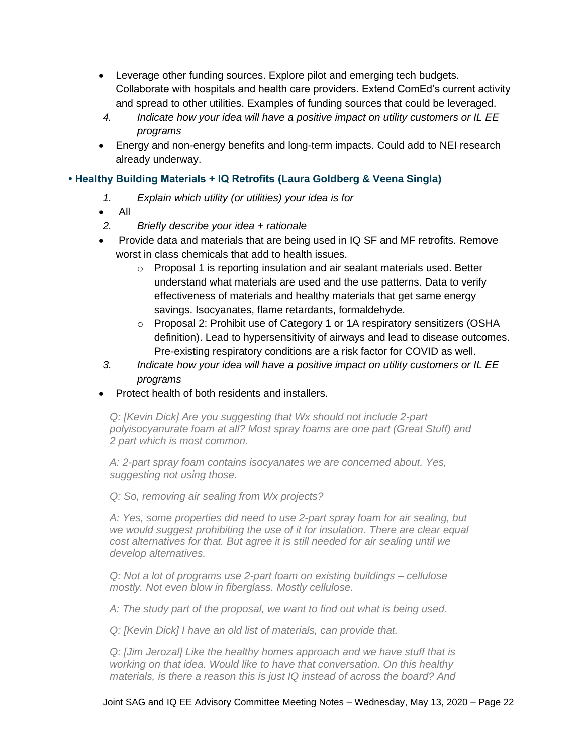- Leverage other funding sources. Explore pilot and emerging tech budgets. Collaborate with hospitals and health care providers. Extend ComEd's current activity and spread to other utilities. Examples of funding sources that could be leveraged.
- *4. Indicate how your idea will have a positive impact on utility customers or IL EE programs*
- Energy and non-energy benefits and long-term impacts. Could add to NEI research already underway.

## **• Healthy Building Materials + IQ Retrofits (Laura Goldberg & Veena Singla)**

- *1. Explain which utility (or utilities) your idea is for*
- All
- *2. Briefly describe your idea + rationale*
- Provide data and materials that are being used in IQ SF and MF retrofits. Remove worst in class chemicals that add to health issues.
	- o Proposal 1 is reporting insulation and air sealant materials used. Better understand what materials are used and the use patterns. Data to verify effectiveness of materials and healthy materials that get same energy savings. Isocyanates, flame retardants, formaldehyde.
	- o Proposal 2: Prohibit use of Category 1 or 1A respiratory sensitizers (OSHA definition). Lead to hypersensitivity of airways and lead to disease outcomes. Pre-existing respiratory conditions are a risk factor for COVID as well.
- *3. Indicate how your idea will have a positive impact on utility customers or IL EE programs*
- Protect health of both residents and installers.

*Q: [Kevin Dick] Are you suggesting that Wx should not include 2-part polyisocyanurate foam at all? Most spray foams are one part (Great Stuff) and 2 part which is most common.*

*A: 2-part spray foam contains isocyanates we are concerned about. Yes, suggesting not using those.*

*Q: So, removing air sealing from Wx projects?*

*A: Yes, some properties did need to use 2-part spray foam for air sealing, but we would suggest prohibiting the use of it for insulation. There are clear equal cost alternatives for that. But agree it is still needed for air sealing until we develop alternatives.*

*Q: Not a lot of programs use 2-part foam on existing buildings – cellulose mostly. Not even blow in fiberglass. Mostly cellulose.* 

*A: The study part of the proposal, we want to find out what is being used.*

*Q: [Kevin Dick] I have an old list of materials, can provide that.*

*Q: [Jim Jerozal] Like the healthy homes approach and we have stuff that is working on that idea. Would like to have that conversation. On this healthy materials, is there a reason this is just IQ instead of across the board? And*